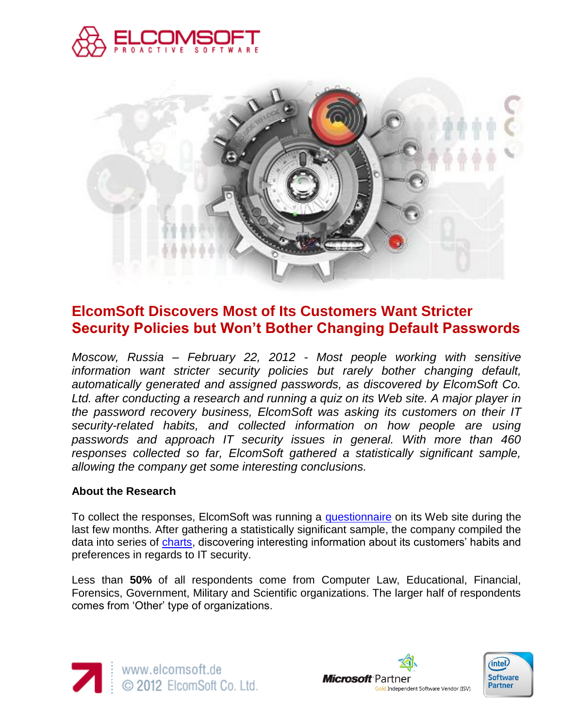



## **ElcomSoft Discovers Most of Its Customers Want Stricter Security Policies but Won't Bother Changing Default Passwords**

*Moscow, Russia – February 22, 2012 - Most people working with sensitive information want stricter security policies but rarely bother changing default, automatically generated and assigned passwords, as discovered by ElcomSoft Co. Ltd. after conducting a research and running a quiz on its Web site. A major player in the password recovery business, ElcomSoft was asking its customers on their IT security-related habits, and collected information on how people are using passwords and approach IT security issues in general. With more than 460 responses collected so far, ElcomSoft gathered a statistically significant sample, allowing the company get some interesting conclusions.*

## **About the Research**

To collect the responses, ElcomSoft was running a [questionnaire](http://www.elcomsoft.co.uk/questionnaire0610.html) on its Web site during the last few months. After gathering a statistically significant sample, the company compiled the data into series of [charts,](http://elcomsoft.com/quiz-charts.html) discovering interesting information about its customers' habits and preferences in regards to IT security.

Less than **50%** of all respondents come from Computer Law, Educational, Financial, Forensics, Government, Military and Scientific organizations. The larger half of respondents comes from 'Other' type of organizations.